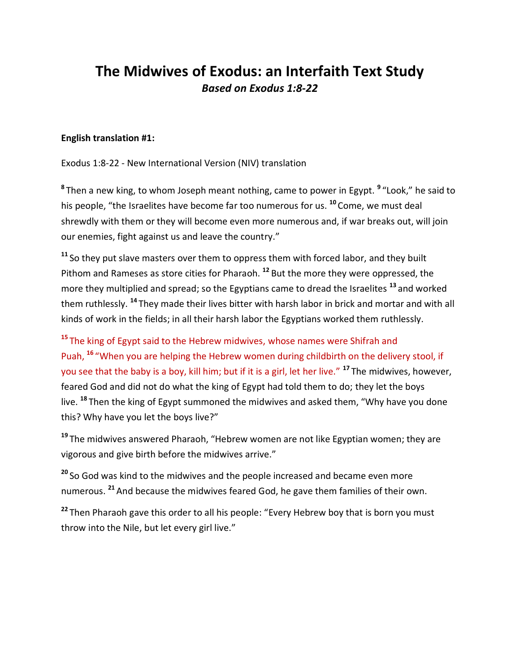## **The Midwives of Exodus: an Interfaith Text Study** *Based on Exodus 1:8-22*

## **English translation #1:**

Exodus 1:8-22 - New International Version (NIV) translation

**8** Then a new king, to whom Joseph meant nothing, came to power in Egypt. **<sup>9</sup>** "Look," he said to his people, "the Israelites have become far too numerous for us. **<sup>10</sup>** Come, we must deal shrewdly with them or they will become even more numerous and, if war breaks out, will join our enemies, fight against us and leave the country."

**<sup>11</sup>** So they put slave masters over them to oppress them with forced labor, and they built Pithom and Rameses as store cities for Pharaoh. **<sup>12</sup>** But the more they were oppressed, the more they multiplied and spread; so the Egyptians came to dread the Israelites **<sup>13</sup>** and worked them ruthlessly. **<sup>14</sup>** They made their lives bitter with harsh labor in brick and mortar and with all kinds of work in the fields; in all their harsh labor the Egyptians worked them ruthlessly.

**<sup>15</sup>** The king of Egypt said to the Hebrew midwives, whose names were Shifrah and Puah, **<sup>16</sup>** "When you are helping the Hebrew women during childbirth on the delivery stool, if you see that the baby is a boy, kill him; but if it is a girl, let her live." **<sup>17</sup>** The midwives, however, feared God and did not do what the king of Egypt had told them to do; they let the boys live. **<sup>18</sup>** Then the king of Egypt summoned the midwives and asked them, "Why have you done this? Why have you let the boys live?"

**<sup>19</sup>** The midwives answered Pharaoh, "Hebrew women are not like Egyptian women; they are vigorous and give birth before the midwives arrive."

**<sup>20</sup>** So God was kind to the midwives and the people increased and became even more numerous. **<sup>21</sup>** And because the midwives feared God, he gave them families of their own.

**<sup>22</sup>** Then Pharaoh gave this order to all his people: "Every Hebrew boy that is born you must throw into the Nile, but let every girl live."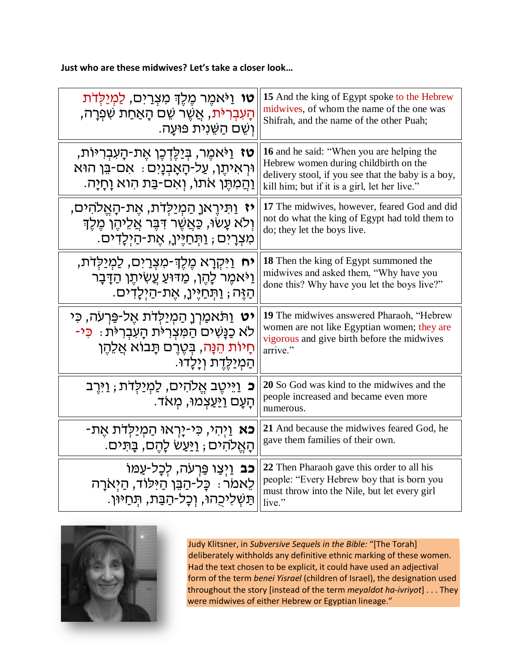**Just who are these midwives? Let's take a closer look…**

| <b>טו</b> וַיֹּאמֵר מֵלֵךְ מִצְרַיִם, לַמְיַלְדֹת                                                                                                    | 15 And the king of Egypt spoke to the Hebrew                                                                                                                                                     |
|------------------------------------------------------------------------------------------------------------------------------------------------------|--------------------------------------------------------------------------------------------------------------------------------------------------------------------------------------------------|
| הַעִּבְרִיּ <sub>ּ</sub> ת, אַשֵּׁר שֵׁם הָאַחַת שִׁפְרָה,                                                                                           | midwives, of whom the name of the one was                                                                                                                                                        |
| ֿוְשֶׁם הַשֶּׁנִית פּוּעַה.                                                                                                                          | Shifrah, and the name of the other Puah;                                                                                                                                                         |
| <b>ָטז</b> וַיֹּאמֵר, בִּיַלֵּדְכֵן אֵת-הָעִבְרִיּוֹת<br>וּרְאִיתֶן, עַל-הָאָבְנָיִם ּ אִם-בֵּן הוּא<br>ַוְהַמִּתֶּן אֹתוֹ, וְאִם-בַּת הִוא וָחָיָה. | <b>16</b> and he said: "When you are helping the<br>Hebrew women during childbirth on the<br>delivery stool, if you see that the baby is a boy,<br>kill him; but if it is a girl, let her live." |
| <b>יז</b> וַתִּירֶאןָ הַמְיַלְדֹת, אֶת-הָאֵלֹהִים,                                                                                                   | 17 The midwives, however, feared God and did                                                                                                                                                     |
| וִלֹא עָשׂוּ, כַּאֲשֶׁר דִּבֶּר אֲלֵיהֶן מֶלֶדְ                                                                                                      | not do what the king of Egypt had told them to                                                                                                                                                   |
| מִצְרָיִם ; וַתְּחַיֶּין, אֵת-הַיִּלָדִים.                                                                                                           | do; they let the boys live.                                                                                                                                                                      |
| <b>יח</b> וַיִּקְרָא מֶלֶךְ-מִצְרַיִם, לַמְיַלְדֹת,                                                                                                  | <b>18</b> Then the king of Egypt summoned the                                                                                                                                                    |
| וַיֹּאמֶר לָהֶן, מַדּוּעַ עַשִׂיתֶן הַדָּבָר                                                                                                         | midwives and asked them, "Why have you                                                                                                                                                           |
| ּהַזֶּה; וַתִּחַיֶּיןָ, אֱת-הַיִּלָדִים.                                                                                                             | done this? Why have you let the boys live?"                                                                                                                                                      |
| <b>יט</b> וַתֹּאמַרְןָ הַמְיַלְדֹת אֶל-פַּרְעֹה, כִּי                                                                                                | <b>19</b> The midwives answered Pharaoh, "Hebrew                                                                                                                                                 |
| לא כַנַּשִׁים הַמִּצְרִיּת הָעִבְרִיּת : כִּי-                                                                                                       | women are not like Egyptian women; they are                                                                                                                                                      |
| חָיוֹת הֵנָּה, בִּטֵרֵם תָּבוֹא אֲלֵהֵן                                                                                                              | vigorous and give birth before the midwives                                                                                                                                                      |
| ּהַמְיַלֵּדֵת וְיָלָדוּ.                                                                                                                             | arrive."                                                                                                                                                                                         |
| <b>ָּכ</b> ּ וַיִּיטֵב אֱלֹהִים, לַמְיַלְדֹת ; וַיְּרֵב<br>ּהַעַם וַיַּעַצְמוּ, מִאֹד.                                                               | 20 So God was kind to the midwives and the<br>people increased and became even more<br>numerous.                                                                                                 |
| <b>-כא</b> וַיִּהִי, כִּי-יָרְאוּ הַמִיַּלְדֹת אֶת                                                                                                   | 21 And because the midwives feared God, he                                                                                                                                                       |
| ּהָאֵלֹהִים ; וַיַּעַשׁ לָהֵם, בָּתִּים.                                                                                                             | gave them families of their own.                                                                                                                                                                 |
| <b>כב</b> וַיִצַו פֵּרְעֹה, לִכָל-עַמּוֹ<br>לֵאמֹר ּ כָּל-הַבֵּן הַיִּלוֹד, הַיִּאֹרָה<br>ּתַּשְׁלִיכִהוּ, וְכָל-הַבַּת, תִּחַיּוּן.                 | 22 Then Pharaoh gave this order to all his<br>people: "Every Hebrew boy that is born you<br>must throw into the Nile, but let every girl<br>live."                                               |



Judy Klitsner, in *Subversive Sequels in the Bible:* "[The Torah] deliberately withholds any definitive ethnic marking of these women. Had the text chosen to be explicit, it could have used an adjectival form of the term *benei Yisrael* (children of Israel), the designation used throughout the story [instead of the term *meyaldot ha-ivriyot*] . . . They were midwives of either Hebrew or Egyptian lineage."